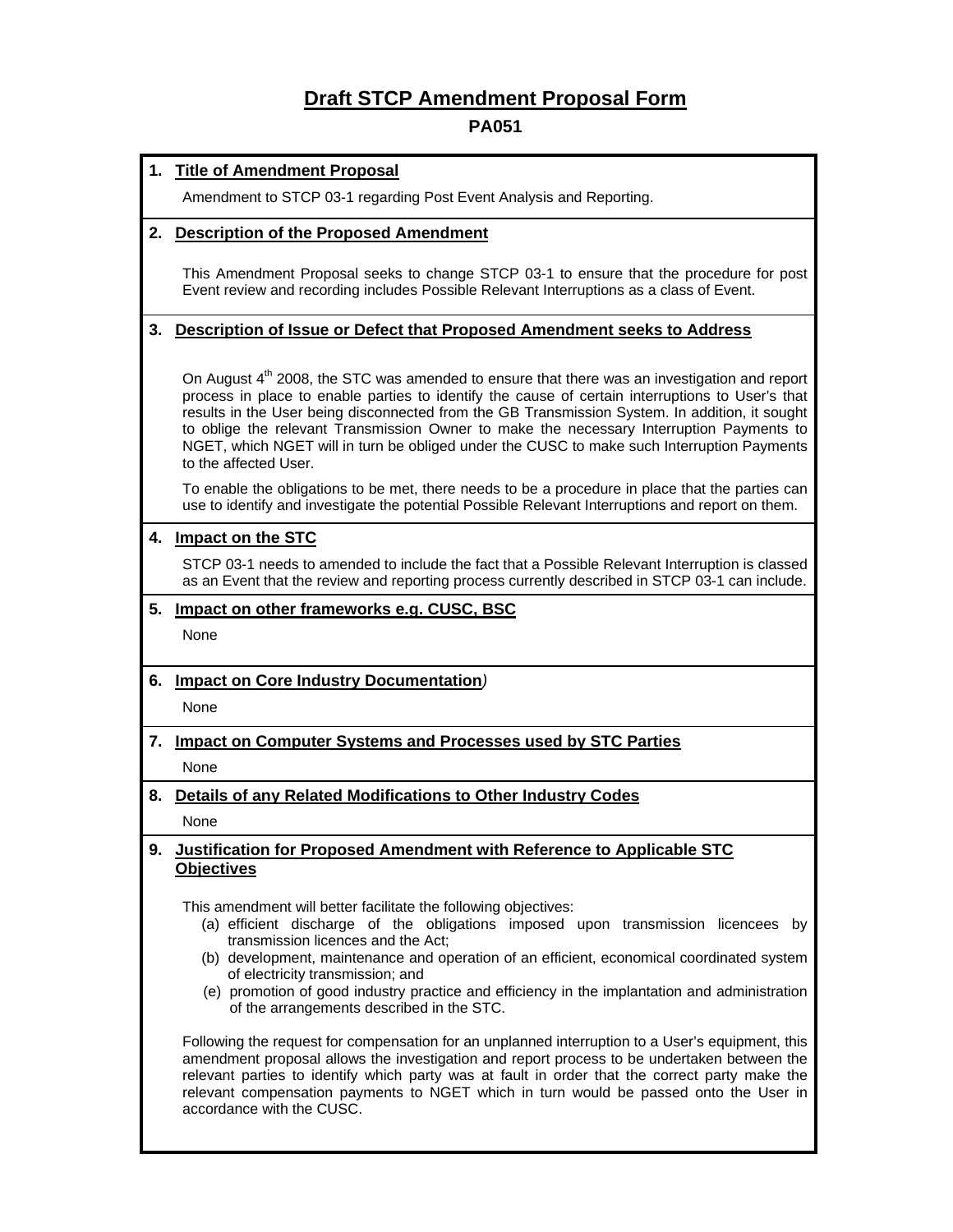# **Draft STCP Amendment Proposal Form**

# **PA051**

# **1. Title of Amendment Proposal**

Amendment to STCP 03-1 regarding Post Event Analysis and Reporting.

#### **2. Description of the Proposed Amendment**

This Amendment Proposal seeks to change STCP 03-1 to ensure that the procedure for post Event review and recording includes Possible Relevant Interruptions as a class of Event.

# **3. Description of Issue or Defect that Proposed Amendment seeks to Address**

On August  $4<sup>th</sup>$  2008, the STC was amended to ensure that there was an investigation and report process in place to enable parties to identify the cause of certain interruptions to User's that results in the User being disconnected from the GB Transmission System. In addition, it sought to oblige the relevant Transmission Owner to make the necessary Interruption Payments to NGET, which NGET will in turn be obliged under the CUSC to make such Interruption Payments to the affected User.

To enable the obligations to be met, there needs to be a procedure in place that the parties can use to identify and investigate the potential Possible Relevant Interruptions and report on them.

## **4. Impact on the STC**

STCP 03-1 needs to amended to include the fact that a Possible Relevant Interruption is classed as an Event that the review and reporting process currently described in STCP 03-1 can include.

#### **5. Impact on other frameworks e.g. CUSC, BSC**

None

## **6. Impact on Core Industry Documentation***)*

None

# **7. Impact on Computer Systems and Processes used by STC Parties**

None

# **8. Details of any Related Modifications to Other Industry Codes**  None

## **9. Justification for Proposed Amendment with Reference to Applicable STC Objectives**

This amendment will better facilitate the following objectives:

- (a) efficient discharge of the obligations imposed upon transmission licencees by transmission licences and the Act;
- (b) development, maintenance and operation of an efficient, economical coordinated system of electricity transmission; and
- (e) promotion of good industry practice and efficiency in the implantation and administration of the arrangements described in the STC.

Following the request for compensation for an unplanned interruption to a User's equipment, this amendment proposal allows the investigation and report process to be undertaken between the relevant parties to identify which party was at fault in order that the correct party make the relevant compensation payments to NGET which in turn would be passed onto the User in accordance with the CUSC.